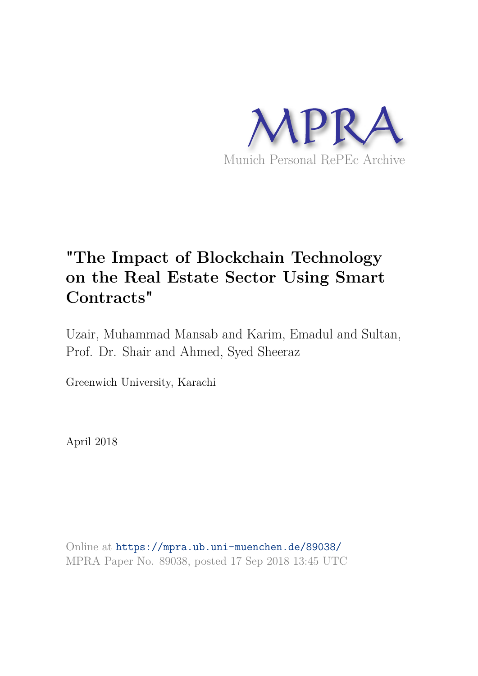

# **"The Impact of Blockchain Technology on the Real Estate Sector Using Smart Contracts"**

Uzair, Muhammad Mansab and Karim, Emadul and Sultan, Prof. Dr. Shair and Ahmed, Syed Sheeraz

Greenwich University, Karachi

April 2018

Online at https://mpra.ub.uni-muenchen.de/89038/ MPRA Paper No. 89038, posted 17 Sep 2018 13:45 UTC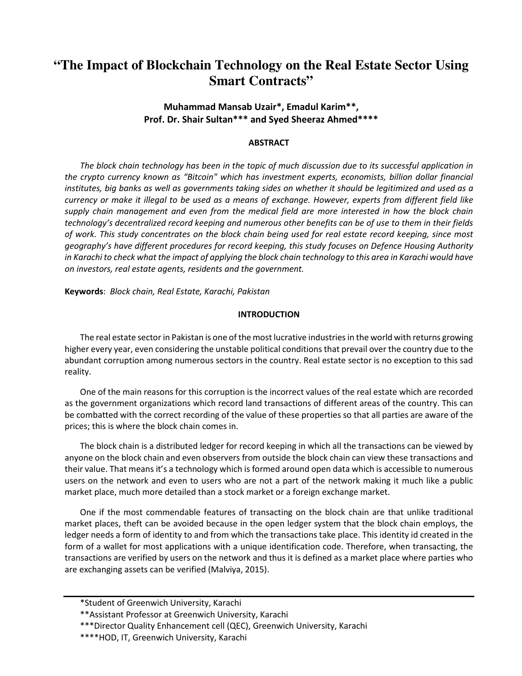# **"The Impact of Blockchain Technology on the Real Estate Sector Using Smart Contracts"**

# **Muhammad Mansab Uzair\*, Emadul Karim\*\*, Prof. Dr. Shair Sultan\*\*\* and Syed Sheeraz Ahmed\*\*\*\***

# **ABSTRACT**

*The block chain technology has been in the topic of much discussion due to its successful application in the crypto currency known as "Bitcoin" which has investment experts, economists, billion dollar financial institutes, big banks as well as governments taking sides on whether it should be legitimized and used as a currency or make it illegal to be used as a means of exchange. However, experts from different field like supply chain management and even from the medical field are more interested in how the block chain technology's decentralized record keeping and numerous other benefits can be of use to them in their fields of work. This study concentrates on the block chain being used for real estate record keeping, since most geography's have different procedures for record keeping, this study focuses on Defence Housing Authority in Karachi to check what the impact of applying the block chain technology to this area in Karachi would have on investors, real estate agents, residents and the government.*

**Keywords**: *Block chain, Real Estate, Karachi, Pakistan*

# **INTRODUCTION**

The real estate sector in Pakistan is one of the most lucrative industries in the world with returns growing higher every year, even considering the unstable political conditions that prevail over the country due to the abundant corruption among numerous sectors in the country. Real estate sector is no exception to this sad reality.

One of the main reasons for this corruption is the incorrect values of the real estate which are recorded as the government organizations which record land transactions of different areas of the country. This can be combatted with the correct recording of the value of these properties so that all parties are aware of the prices; this is where the block chain comes in.

The block chain is a distributed ledger for record keeping in which all the transactions can be viewed by anyone on the block chain and even observers from outside the block chain can view these transactions and their value. That means it's a technology which is formed around open data which is accessible to numerous users on the network and even to users who are not a part of the network making it much like a public market place, much more detailed than a stock market or a foreign exchange market.

One if the most commendable features of transacting on the block chain are that unlike traditional market places, theft can be avoided because in the open ledger system that the block chain employs, the ledger needs a form of identity to and from which the transactions take place. This identity id created in the form of a wallet for most applications with a unique identification code. Therefore, when transacting, the transactions are verified by users on the network and thus it is defined as a market place where parties who are exchanging assets can be verified (Malviya, 2015).

<sup>\*</sup>Student of Greenwich University, Karachi

<sup>\*\*</sup>Assistant Professor at Greenwich University, Karachi

<sup>\*\*\*</sup>Director Quality Enhancement cell (QEC), Greenwich University, Karachi

<sup>\*\*\*\*</sup>HOD, IT, Greenwich University, Karachi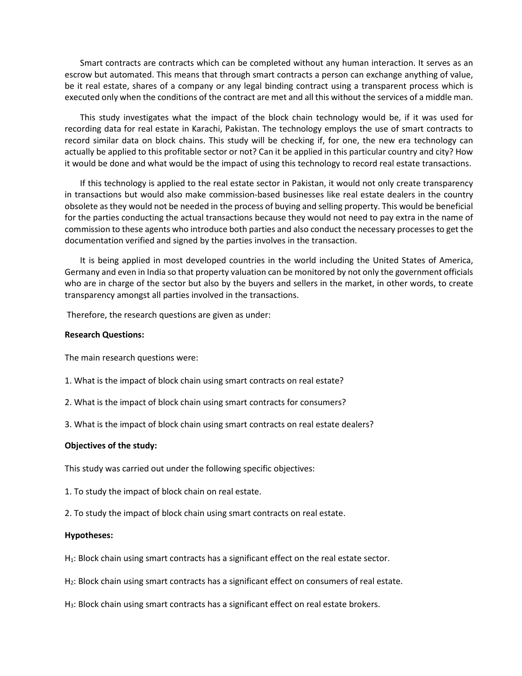Smart contracts are contracts which can be completed without any human interaction. It serves as an escrow but automated. This means that through smart contracts a person can exchange anything of value, be it real estate, shares of a company or any legal binding contract using a transparent process which is executed only when the conditions of the contract are met and all this without the services of a middle man.

This study investigates what the impact of the block chain technology would be, if it was used for recording data for real estate in Karachi, Pakistan. The technology employs the use of smart contracts to record similar data on block chains. This study will be checking if, for one, the new era technology can actually be applied to this profitable sector or not? Can it be applied in this particular country and city? How it would be done and what would be the impact of using this technology to record real estate transactions.

If this technology is applied to the real estate sector in Pakistan, it would not only create transparency in transactions but would also make commission-based businesses like real estate dealers in the country obsolete as they would not be needed in the process of buying and selling property. This would be beneficial for the parties conducting the actual transactions because they would not need to pay extra in the name of commission to these agents who introduce both parties and also conduct the necessary processes to get the documentation verified and signed by the parties involves in the transaction.

It is being applied in most developed countries in the world including the United States of America, Germany and even in India so that property valuation can be monitored by not only the government officials who are in charge of the sector but also by the buyers and sellers in the market, in other words, to create transparency amongst all parties involved in the transactions.

Therefore, the research questions are given as under:

#### **Research Questions:**

The main research questions were:

- 1. What is the impact of block chain using smart contracts on real estate?
- 2. What is the impact of block chain using smart contracts for consumers?
- 3. What is the impact of block chain using smart contracts on real estate dealers?

#### **Objectives of the study:**

This study was carried out under the following specific objectives:

- 1. To study the impact of block chain on real estate.
- 2. To study the impact of block chain using smart contracts on real estate.

#### **Hypotheses:**

- $H_1$ : Block chain using smart contracts has a significant effect on the real estate sector.
- H2: Block chain using smart contracts has a significant effect on consumers of real estate.
- H3: Block chain using smart contracts has a significant effect on real estate brokers.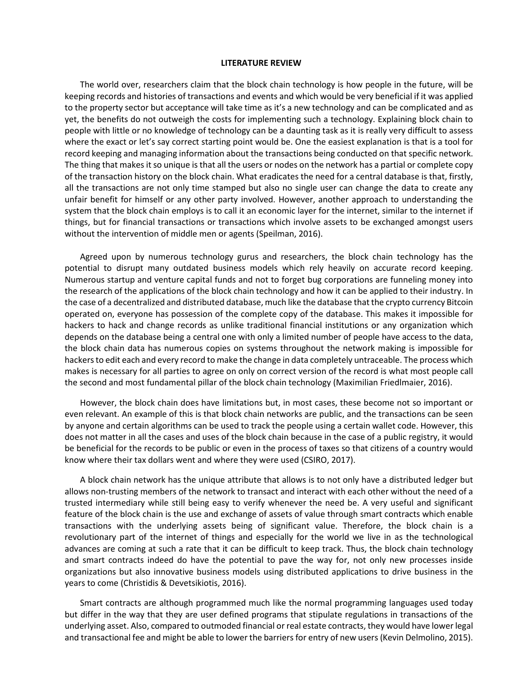#### **LITERATURE REVIEW**

The world over, researchers claim that the block chain technology is how people in the future, will be keeping records and histories of transactions and events and which would be very beneficial if it was applied to the property sector but acceptance will take time as it's a new technology and can be complicated and as yet, the benefits do not outweigh the costs for implementing such a technology. Explaining block chain to people with little or no knowledge of technology can be a daunting task as it is really very difficult to assess where the exact or let's say correct starting point would be. One the easiest explanation is that is a tool for record keeping and managing information about the transactions being conducted on that specific network. The thing that makes it so unique is that all the users or nodes on the network has a partial or complete copy of the transaction history on the block chain. What eradicates the need for a central database is that, firstly, all the transactions are not only time stamped but also no single user can change the data to create any unfair benefit for himself or any other party involved. However, another approach to understanding the system that the block chain employs is to call it an economic layer for the internet, similar to the internet if things, but for financial transactions or transactions which involve assets to be exchanged amongst users without the intervention of middle men or agents (Speilman, 2016).

Agreed upon by numerous technology gurus and researchers, the block chain technology has the potential to disrupt many outdated business models which rely heavily on accurate record keeping. Numerous startup and venture capital funds and not to forget bug corporations are funneling money into the research of the applications of the block chain technology and how it can be applied to their industry. In the case of a decentralized and distributed database, much like the database that the crypto currency Bitcoin operated on, everyone has possession of the complete copy of the database. This makes it impossible for hackers to hack and change records as unlike traditional financial institutions or any organization which depends on the database being a central one with only a limited number of people have access to the data, the block chain data has numerous copies on systems throughout the network making is impossible for hackers to edit each and every record to make the change in data completely untraceable. The process which makes is necessary for all parties to agree on only on correct version of the record is what most people call the second and most fundamental pillar of the block chain technology (Maximilian Friedlmaier, 2016).

However, the block chain does have limitations but, in most cases, these become not so important or even relevant. An example of this is that block chain networks are public, and the transactions can be seen by anyone and certain algorithms can be used to track the people using a certain wallet code. However, this does not matter in all the cases and uses of the block chain because in the case of a public registry, it would be beneficial for the records to be public or even in the process of taxes so that citizens of a country would know where their tax dollars went and where they were used (CSIRO, 2017).

A block chain network has the unique attribute that allows is to not only have a distributed ledger but allows non-trusting members of the network to transact and interact with each other without the need of a trusted intermediary while still being easy to verify whenever the need be. A very useful and significant feature of the block chain is the use and exchange of assets of value through smart contracts which enable transactions with the underlying assets being of significant value. Therefore, the block chain is a revolutionary part of the internet of things and especially for the world we live in as the technological advances are coming at such a rate that it can be difficult to keep track. Thus, the block chain technology and smart contracts indeed do have the potential to pave the way for, not only new processes inside organizations but also innovative business models using distributed applications to drive business in the years to come (Christidis & Devetsikiotis, 2016).

Smart contracts are although programmed much like the normal programming languages used today but differ in the way that they are user defined programs that stipulate regulations in transactions of the underlying asset. Also, compared to outmoded financial or real estate contracts, they would have lower legal and transactional fee and might be able to lower the barriers for entry of new users (Kevin Delmolino, 2015).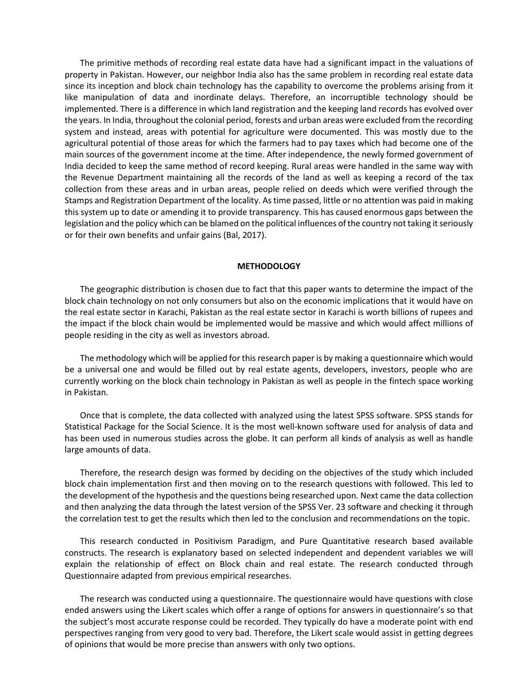The primitive methods of recording real estate data have had a significant impact in the valuations of property in Pakistan. However, our neighbor India also has the same problem in recording real estate data since its inception and block chain technology has the capability to overcome the problems arising from it like manipulation of data and inordinate delays. Therefore, an incorruptible technology should be implemented. There is a difference in which land registration and the keeping land records has evolved over the years. In India, throughout the colonial period, forests and urban areas were excluded from the recording system and instead, areas with potential for agriculture were documented. This was mostly due to the agricultural potential of those areas for which the farmers had to pay taxes which had become one of the main sources of the government income at the time. After independence, the newly formed government of India decided to keep the same method of record keeping. Rural areas were handled in the same way with the Revenue Department maintaining all the records of the land as well as keeping a record of the tax collection from these areas and in urban areas, people relied on deeds which were verified through the Stamps and Registration Department of the locality. As time passed, little or no attention was paid in making this system up to date or amending it to provide transparency. This has caused enormous gaps between the legislation and the policy which can be blamed on the political influences of the country not taking it seriously or for their own benefits and unfair gains (Bal, 2017).

#### **METHODOLOGY**

The geographic distribution is chosen due to fact that this paper wants to determine the impact of the block chain technology on not only consumers but also on the economic implications that it would have on the real estate sector in Karachi, Pakistan as the real estate sector in Karachi is worth billions of rupees and the impact if the block chain would be implemented would be massive and which would affect millions of people residing in the city as well as investors abroad.

The methodology which will be applied for this research paper is by making a questionnaire which would be a universal one and would be filled out by real estate agents, developers, investors, people who are currently working on the block chain technology in Pakistan as well as people in the fintech space working in Pakistan.

Once that is complete, the data collected with analyzed using the latest SPSS software. SPSS stands for Statistical Package for the Social Science. It is the most well-known software used for analysis of data and has been used in numerous studies across the globe. It can perform all kinds of analysis as well as handle large amounts of data.

Therefore, the research design was formed by deciding on the objectives of the study which included block chain implementation first and then moving on to the research questions with followed. This led to the development of the hypothesis and the questions being researched upon. Next came the data collection and then analyzing the data through the latest version of the SPSS Ver. 23 software and checking it through the correlation test to get the results which then led to the conclusion and recommendations on the topic.

This research conducted in Positivism Paradigm, and Pure Quantitative research based available constructs. The research is explanatory based on selected independent and dependent variables we will explain the relationship of effect on Block chain and real estate. The research conducted through Questionnaire adapted from previous empirical researches.

The research was conducted using a questionnaire. The questionnaire would have questions with close ended answers using the Likert scales which offer a range of options for answers in questionnaire's so that the subject's most accurate response could be recorded. They typically do have a moderate point with end perspectives ranging from very good to very bad. Therefore, the Likert scale would assist in getting degrees of opinions that would be more precise than answers with only two options.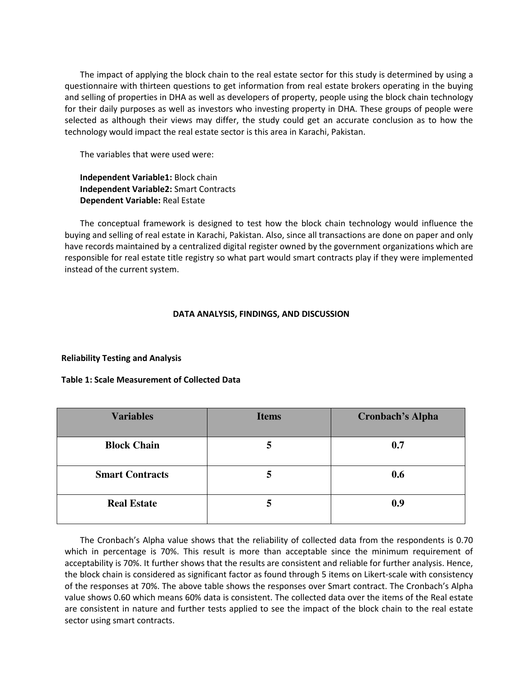The impact of applying the block chain to the real estate sector for this study is determined by using a questionnaire with thirteen questions to get information from real estate brokers operating in the buying and selling of properties in DHA as well as developers of property, people using the block chain technology for their daily purposes as well as investors who investing property in DHA. These groups of people were selected as although their views may differ, the study could get an accurate conclusion as to how the technology would impact the real estate sector is this area in Karachi, Pakistan.

The variables that were used were:

# **Independent Variable1:** Block chain **Independent Variable2:** Smart Contracts **Dependent Variable:** Real Estate

The conceptual framework is designed to test how the block chain technology would influence the buying and selling of real estate in Karachi, Pakistan. Also, since all transactions are done on paper and only have records maintained by a centralized digital register owned by the government organizations which are responsible for real estate title registry so what part would smart contracts play if they were implemented instead of the current system.

# **DATA ANALYSIS, FINDINGS, AND DISCUSSION**

# **Reliability Testing and Analysis**

# **Table 1: Scale Measurement of Collected Data**

| <b>Variables</b>       | <b>Items</b> | <b>Cronbach's Alpha</b> |
|------------------------|--------------|-------------------------|
| <b>Block Chain</b>     | 5            | 0.7                     |
| <b>Smart Contracts</b> | 5            | 0.6                     |
| <b>Real Estate</b>     | 5            | 0.9                     |

The Cronbach's Alpha value shows that the reliability of collected data from the respondents is 0.70 which in percentage is 70%. This result is more than acceptable since the minimum requirement of acceptability is 70%. It further shows that the results are consistent and reliable for further analysis. Hence, the block chain is considered as significant factor as found through 5 items on Likert-scale with consistency of the responses at 70%. The above table shows the responses over Smart contract. The Cronbach's Alpha value shows 0.60 which means 60% data is consistent. The collected data over the items of the Real estate are consistent in nature and further tests applied to see the impact of the block chain to the real estate sector using smart contracts.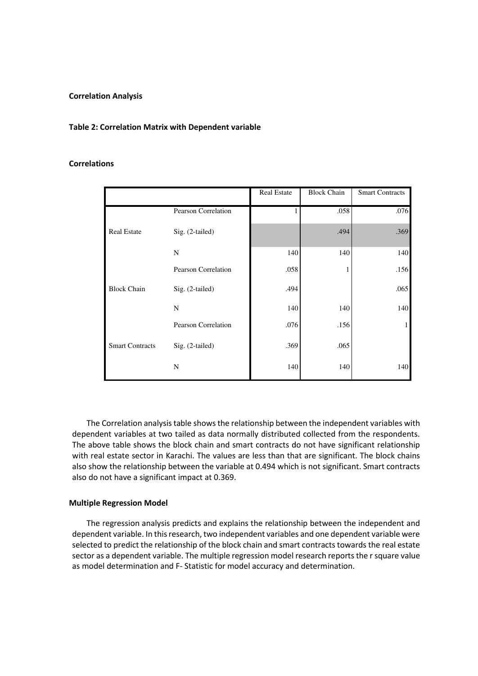## **Correlation Analysis**

# **Table 2: Correlation Matrix with Dependent variable**

# **Correlations**

|                        |                     | <b>Real Estate</b> | <b>Block Chain</b> | <b>Smart Contracts</b> |
|------------------------|---------------------|--------------------|--------------------|------------------------|
|                        | Pearson Correlation |                    | .058               | .076                   |
| <b>Real Estate</b>     | Sig. (2-tailed)     |                    | .494               | .369                   |
|                        | N                   | 140                | 140                | 140                    |
|                        | Pearson Correlation | .058               |                    | .156                   |
| <b>Block Chain</b>     | Sig. (2-tailed)     | .494               |                    | .065                   |
|                        | $\mathbf N$         | 140                | 140                | 140                    |
|                        | Pearson Correlation | .076               | .156               | 1                      |
| <b>Smart Contracts</b> | Sig. (2-tailed)     | .369               | .065               |                        |
|                        | N                   | 140                | 140                | 140                    |

The Correlation analysis table shows the relationship between the independent variables with dependent variables at two tailed as data normally distributed collected from the respondents. The above table shows the block chain and smart contracts do not have significant relationship with real estate sector in Karachi. The values are less than that are significant. The block chains also show the relationship between the variable at 0.494 which is not significant. Smart contracts also do not have a significant impact at 0.369.

# **Multiple Regression Model**

The regression analysis predicts and explains the relationship between the independent and dependent variable. In this research, two independent variables and one dependent variable were selected to predict the relationship of the block chain and smart contracts towards the real estate sector as a dependent variable. The multiple regression model research reports the r square value as model determination and F- Statistic for model accuracy and determination.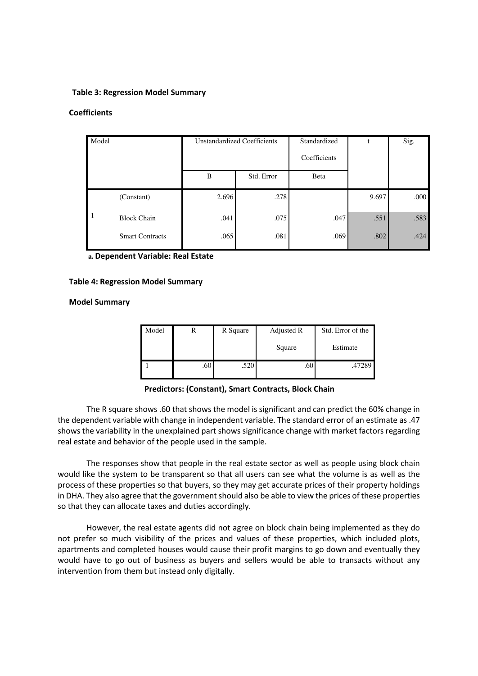# **Table 3: Regression Model Summary**

## **Coefficients**

| Model |                        | <b>Unstandardized Coefficients</b> |            | Standardized | t     | Sig. |
|-------|------------------------|------------------------------------|------------|--------------|-------|------|
|       |                        |                                    |            | Coefficients |       |      |
|       |                        | B                                  | Std. Error | Beta         |       |      |
|       | (Constant)             | 2.696                              | .278       |              | 9.697 | .000 |
| 1     | <b>Block Chain</b>     | .041                               | .075       | .047         | .551  | .583 |
|       | <b>Smart Contracts</b> | .065                               | .081       | .069         | .802  | .424 |

**a. Dependent Variable: Real Estate**

#### **Table 4: Regression Model Summary**

#### **Model Summary**

| Model |     | R Square | Adjusted R | Std. Error of the |
|-------|-----|----------|------------|-------------------|
|       |     |          | Square     | Estimate          |
|       | .60 | .520     | .ou        | .47289            |

#### **Predictors: (Constant), Smart Contracts, Block Chain**

The R square shows .60 that shows the model is significant and can predict the 60% change in the dependent variable with change in independent variable. The standard error of an estimate as .47 shows the variability in the unexplained part shows significance change with market factors regarding real estate and behavior of the people used in the sample.

The responses show that people in the real estate sector as well as people using block chain would like the system to be transparent so that all users can see what the volume is as well as the process of these properties so that buyers, so they may get accurate prices of their property holdings in DHA. They also agree that the government should also be able to view the prices of these properties so that they can allocate taxes and duties accordingly.

However, the real estate agents did not agree on block chain being implemented as they do not prefer so much visibility of the prices and values of these properties, which included plots, apartments and completed houses would cause their profit margins to go down and eventually they would have to go out of business as buyers and sellers would be able to transacts without any intervention from them but instead only digitally.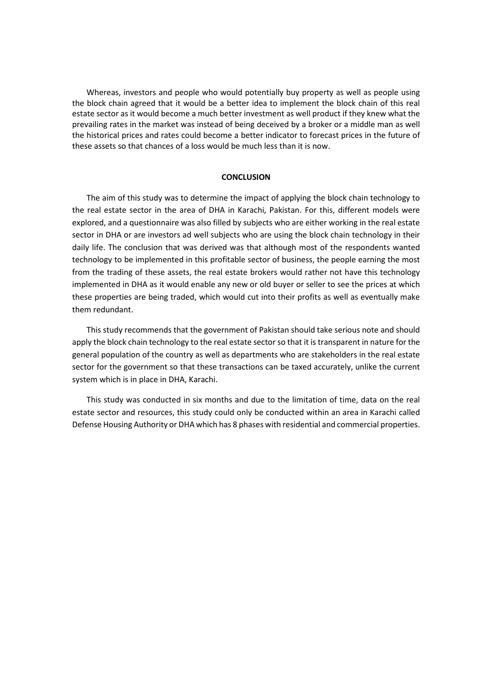Whereas, investors and people who would potentially buy property as well as people using the block chain agreed that it would be a better idea to implement the block chain of this real estate sector as it would become a much better investment as well product if they knew what the prevailing rates in the market was instead of being deceived by a broker or a middle man as well the historical prices and rates could become a better indicator to forecast prices in the future of these assets so that chances of a loss would be much less than it is now.

#### **CONCLUSION**

The aim of this study was to determine the impact of applying the block chain technology to the real estate sector in the area of DHA in Karachi, Pakistan. For this, different models were explored, and a questionnaire was also filled by subjects who are either working in the real estate sector in DHA or are investors ad well subjects who are using the block chain technology in their daily life. The conclusion that was derived was that although most of the respondents wanted technology to be implemented in this profitable sector of business, the people earning the most from the trading of these assets, the real estate brokers would rather not have this technology implemented in DHA as it would enable any new or old buyer or seller to see the prices at which these properties are being traded, which would cut into their profits as well as eventually make them redundant.

This study recommends that the government of Pakistan should take serious note and should apply the block chain technology to the real estate sector so that it is transparent in nature for the general population of the country as well as departments who are stakeholders in the real estate sector for the government so that these transactions can be taxed accurately, unlike the current system which is in place in DHA, Karachi.

This study was conducted in six months and due to the limitation of time, data on the real estate sector and resources, this study could only be conducted within an area in Karachi called Defense Housing Authority or DHA which has 8 phases with residential and commercial properties.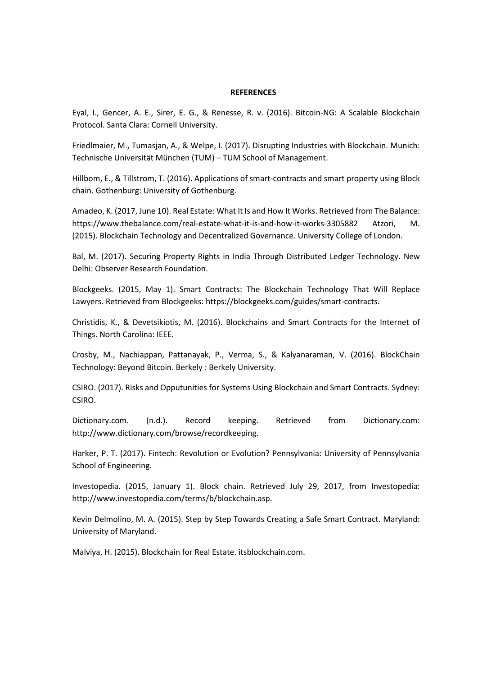#### **REFERENCES**

Eyal, I., Gencer, A. E., Sirer, E. G., & Renesse, R. v. (2016). Bitcoin-NG: A Scalable Blockchain Protocol. Santa Clara: Cornell University.

Friedlmaier, M., Tumasjan, A., & Welpe, I. (2017). Disrupting Industries with Blockchain. Munich: Technische Universität München (TUM) – TUM School of Management.

Hillbom, E., & Tillstrom, T. (2016). Applications of smart-contracts and smart property using Block chain. Gothenburg: University of Gothenburg.

Amadeo, K. (2017, June 10). Real Estate: What It Is and How It Works. Retrieved from The Balance: https://www.thebalance.com/real-estate-what-it-is-and-how-it-works-3305882 Atzori, M. (2015). Blockchain Technology and Decentralized Governance. University College of London.

Bal, M. (2017). Securing Property Rights in India Through Distributed Ledger Technology. New Delhi: Observer Research Foundation.

Blockgeeks. (2015, May 1). Smart Contracts: The Blockchain Technology That Will Replace Lawyers. Retrieved from Blockgeeks: https://blockgeeks.com/guides/smart-contracts.

Christidis, K., & Devetsikiotis, M. (2016). Blockchains and Smart Contracts for the Internet of Things. North Carolina: IEEE.

Crosby, M., Nachiappan, Pattanayak, P., Verma, S., & Kalyanaraman, V. (2016). BlockChain Technology: Beyond Bitcoin. Berkely : Berkely University.

CSIRO. (2017). Risks and Opputunities for Systems Using Blockchain and Smart Contracts. Sydney: CSIRO.

Dictionary.com. (n.d.). Record keeping. Retrieved from Dictionary.com: http://www.dictionary.com/browse/recordkeeping.

Harker, P. T. (2017). Fintech: Revolution or Evolution? Pennsylvania: University of Pennsylvania School of Engineering.

Investopedia. (2015, January 1). Block chain. Retrieved July 29, 2017, from Investopedia: http://www.investopedia.com/terms/b/blockchain.asp.

Kevin Delmolino, M. A. (2015). Step by Step Towards Creating a Safe Smart Contract. Maryland: University of Maryland.

Malviya, H. (2015). Blockchain for Real Estate. itsblockchain.com.